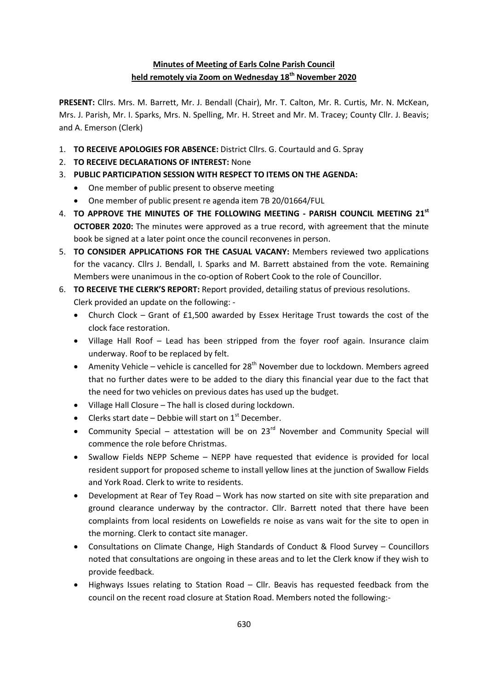# **Minutes of Meeting of Earls Colne Parish Council held remotely via Zoom on Wednesday 18th November 2020**

**PRESENT:** Cllrs. Mrs. M. Barrett, Mr. J. Bendall (Chair), Mr. T. Calton, Mr. R. Curtis, Mr. N. McKean, Mrs. J. Parish, Mr. I. Sparks, Mrs. N. Spelling, Mr. H. Street and Mr. M. Tracey; County Cllr. J. Beavis; and A. Emerson (Clerk)

- 1. **TO RECEIVE APOLOGIES FOR ABSENCE:** District Cllrs. G. Courtauld and G. Spray
- 2. **TO RECEIVE DECLARATIONS OF INTEREST:** None
- 3. **PUBLIC PARTICIPATION SESSION WITH RESPECT TO ITEMS ON THE AGENDA:**
	- One member of public present to observe meeting
	- One member of public present re agenda item 7B 20/01664/FUL
- 4. **TO APPROVE THE MINUTES OF THE FOLLOWING MEETING - PARISH COUNCIL MEETING 21st OCTOBER 2020:** The minutes were approved as a true record, with agreement that the minute book be signed at a later point once the council reconvenes in person.
- 5. **TO CONSIDER APPLICATIONS FOR THE CASUAL VACANY:** Members reviewed two applications for the vacancy. Cllrs J. Bendall, I. Sparks and M. Barrett abstained from the vote. Remaining Members were unanimous in the co-option of Robert Cook to the role of Councillor.
- 6. **TO RECEIVE THE CLERK'S REPORT:** Report provided, detailing status of previous resolutions. Clerk provided an update on the following: -
	- Church Clock Grant of £1,500 awarded by Essex Heritage Trust towards the cost of the clock face restoration.
	- Village Hall Roof Lead has been stripped from the foyer roof again. Insurance claim underway. Roof to be replaced by felt.
	- Amenity Vehicle vehicle is cancelled for  $28<sup>th</sup>$  November due to lockdown. Members agreed that no further dates were to be added to the diary this financial year due to the fact that the need for two vehicles on previous dates has used up the budget.
	- Village Hall Closure The hall is closed during lockdown.
	- Clerks start date Debbie will start on  $1<sup>st</sup>$  December.
	- Community Special attestation will be on  $23^{rd}$  November and Community Special will commence the role before Christmas.
	- Swallow Fields NEPP Scheme NEPP have requested that evidence is provided for local resident support for proposed scheme to install yellow lines at the junction of Swallow Fields and York Road. Clerk to write to residents.
	- Development at Rear of Tey Road Work has now started on site with site preparation and ground clearance underway by the contractor. Cllr. Barrett noted that there have been complaints from local residents on Lowefields re noise as vans wait for the site to open in the morning. Clerk to contact site manager.
	- Consultations on Climate Change, High Standards of Conduct & Flood Survey Councillors noted that consultations are ongoing in these areas and to let the Clerk know if they wish to provide feedback.
	- Highways Issues relating to Station Road Cllr. Beavis has requested feedback from the council on the recent road closure at Station Road. Members noted the following:-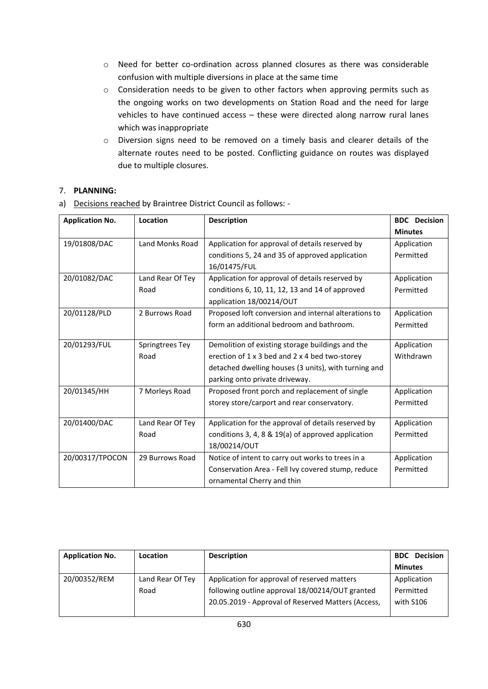- o Need for better co-ordination across planned closures as there was considerable confusion with multiple diversions in place at the same time
- o Consideration needs to be given to other factors when approving permits such as the ongoing works on two developments on Station Road and the need for large vehicles to have continued access – these were directed along narrow rural lanes which was inappropriate
- o Diversion signs need to be removed on a timely basis and clearer details of the alternate routes need to be posted. Conflicting guidance on routes was displayed due to multiple closures.

## 7. **PLANNING:**

a) Decisions reached by Braintree District Council as follows: -

| <b>Application No.</b> | Location         | <b>Description</b>                                   | <b>BDC</b> Decision |
|------------------------|------------------|------------------------------------------------------|---------------------|
|                        |                  |                                                      | <b>Minutes</b>      |
| 19/01808/DAC           | Land Monks Road  | Application for approval of details reserved by      | Application         |
|                        |                  | conditions 5, 24 and 35 of approved application      | Permitted           |
|                        |                  | 16/01475/FUL                                         |                     |
| 20/01082/DAC           | Land Rear Of Tey | Application for approval of details reserved by      | Application         |
|                        | Road             | conditions 6, 10, 11, 12, 13 and 14 of approved      | Permitted           |
|                        |                  | application 18/00214/OUT                             |                     |
| 20/01128/PLD           | 2 Burrows Road   | Proposed loft conversion and internal alterations to | Application         |
|                        |                  | form an additional bedroom and bathroom.             | Permitted           |
|                        |                  |                                                      |                     |
| 20/01293/FUL           | Springtrees Tey  | Demolition of existing storage buildings and the     | Application         |
|                        | Road             | erection of 1 x 3 bed and 2 x 4 bed two-storey       | Withdrawn           |
|                        |                  | detached dwelling houses (3 units), with turning and |                     |
|                        |                  | parking onto private driveway.                       |                     |
| 20/01345/HH            | 7 Morleys Road   | Proposed front porch and replacement of single       | Application         |
|                        |                  | storey store/carport and rear conservatory.          | Permitted           |
|                        |                  |                                                      |                     |
| 20/01400/DAC           | Land Rear Of Tey | Application for the approval of details reserved by  | Application         |
|                        | Road             | conditions 3, 4, 8 & 19(a) of approved application   | Permitted           |
|                        |                  | 18/00214/OUT                                         |                     |
| 20/00317/TPOCON        | 29 Burrows Road  | Notice of intent to carry out works to trees in a    | Application         |
|                        |                  | Conservation Area - Fell Ivy covered stump, reduce   | Permitted           |
|                        |                  | ornamental Cherry and thin                           |                     |

| <b>Application No.</b> | <b>Location</b>  | <b>Description</b>                                 | <b>Decision</b><br><b>BDC</b> |
|------------------------|------------------|----------------------------------------------------|-------------------------------|
|                        |                  |                                                    | <b>Minutes</b>                |
| 20/00352/REM           | Land Rear Of Tey | Application for approval of reserved matters       | Application                   |
|                        | Road             | following outline approval 18/00214/OUT granted    | Permitted                     |
|                        |                  | 20.05.2019 - Approval of Reserved Matters (Access, | with S106                     |
|                        |                  |                                                    |                               |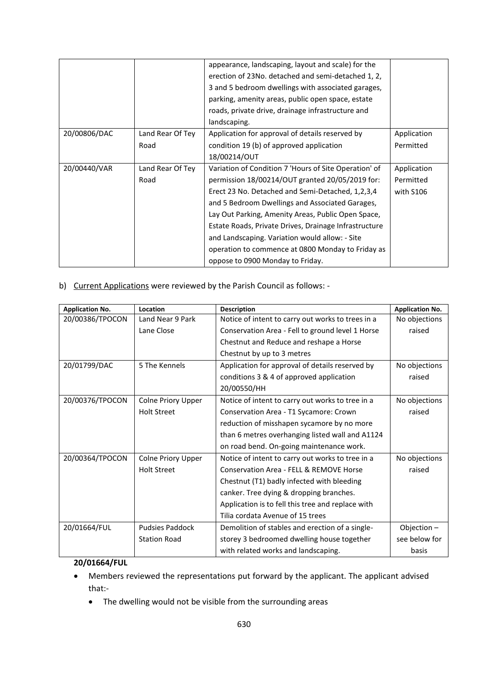|              |                  | appearance, landscaping, layout and scale) for the    |             |
|--------------|------------------|-------------------------------------------------------|-------------|
|              |                  | erection of 23No. detached and semi-detached 1, 2,    |             |
|              |                  | 3 and 5 bedroom dwellings with associated garages,    |             |
|              |                  | parking, amenity areas, public open space, estate     |             |
|              |                  | roads, private drive, drainage infrastructure and     |             |
|              |                  | landscaping.                                          |             |
| 20/00806/DAC | Land Rear Of Tey | Application for approval of details reserved by       | Application |
|              | Road             | condition 19 (b) of approved application              | Permitted   |
|              |                  | 18/00214/OUT                                          |             |
| 20/00440/VAR | Land Rear Of Tey | Variation of Condition 7 'Hours of Site Operation' of | Application |
|              | Road             | permission 18/00214/OUT granted 20/05/2019 for:       | Permitted   |
|              |                  | Erect 23 No. Detached and Semi-Detached, 1,2,3,4      | with S106   |
|              |                  | and 5 Bedroom Dwellings and Associated Garages,       |             |
|              |                  | Lay Out Parking, Amenity Areas, Public Open Space,    |             |
|              |                  | Estate Roads, Private Drives, Drainage Infrastructure |             |
|              |                  | and Landscaping. Variation would allow: - Site        |             |
|              |                  | operation to commence at 0800 Monday to Friday as     |             |
|              |                  | oppose to 0900 Monday to Friday.                      |             |

b) Current Applications were reviewed by the Parish Council as follows: -

| <b>Application No.</b> | Location               | <b>Description</b>                                | <b>Application No.</b> |
|------------------------|------------------------|---------------------------------------------------|------------------------|
| 20/00386/TPOCON        | Land Near 9 Park       | Notice of intent to carry out works to trees in a | No objections          |
|                        | Lane Close             | Conservation Area - Fell to ground level 1 Horse  | raised                 |
|                        |                        | Chestnut and Reduce and reshape a Horse           |                        |
|                        |                        | Chestnut by up to 3 metres                        |                        |
| 20/01799/DAC           | 5 The Kennels          | Application for approval of details reserved by   | No objections          |
|                        |                        | conditions 3 & 4 of approved application          | raised                 |
|                        |                        | 20/00550/HH                                       |                        |
| 20/00376/TPOCON        | Colne Priory Upper     | Notice of intent to carry out works to tree in a  | No objections          |
|                        | <b>Holt Street</b>     | Conservation Area - T1 Sycamore: Crown            | raised                 |
|                        |                        | reduction of misshapen sycamore by no more        |                        |
|                        |                        | than 6 metres overhanging listed wall and A1124   |                        |
|                        |                        | on road bend. On-going maintenance work.          |                        |
| 20/00364/TPOCON        | Colne Priory Upper     | Notice of intent to carry out works to tree in a  | No objections          |
|                        | <b>Holt Street</b>     | Conservation Area - FELL & REMOVE Horse           | raised                 |
|                        |                        | Chestnut (T1) badly infected with bleeding        |                        |
|                        |                        | canker. Tree dying & dropping branches.           |                        |
|                        |                        | Application is to fell this tree and replace with |                        |
|                        |                        | Tilia cordata Avenue of 15 trees                  |                        |
| 20/01664/FUL           | <b>Pudsies Paddock</b> | Demolition of stables and erection of a single-   | Objection $-$          |
|                        | <b>Station Road</b>    | storey 3 bedroomed dwelling house together        | see below for          |
|                        |                        | with related works and landscaping.               | basis                  |

#### **20/01664/FUL**

- Members reviewed the representations put forward by the applicant. The applicant advised that:-
	- The dwelling would not be visible from the surrounding areas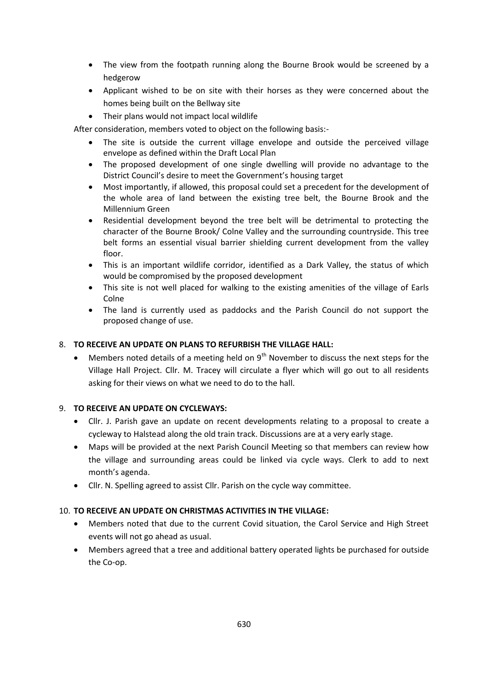- The view from the footpath running along the Bourne Brook would be screened by a hedgerow
- Applicant wished to be on site with their horses as they were concerned about the homes being built on the Bellway site
- Their plans would not impact local wildlife

After consideration, members voted to object on the following basis:-

- The site is outside the current village envelope and outside the perceived village envelope as defined within the Draft Local Plan
- The proposed development of one single dwelling will provide no advantage to the District Council's desire to meet the Government's housing target
- Most importantly, if allowed, this proposal could set a precedent for the development of the whole area of land between the existing tree belt, the Bourne Brook and the Millennium Green
- Residential development beyond the tree belt will be detrimental to protecting the character of the Bourne Brook/ Colne Valley and the surrounding countryside. This tree belt forms an essential visual barrier shielding current development from the valley floor.
- This is an important wildlife corridor, identified as a Dark Valley, the status of which would be compromised by the proposed development
- This site is not well placed for walking to the existing amenities of the village of Earls Colne
- The land is currently used as paddocks and the Parish Council do not support the proposed change of use.

#### 8. **TO RECEIVE AN UPDATE ON PLANS TO REFURBISH THE VILLAGE HALL:**

Members noted details of a meeting held on  $9<sup>th</sup>$  November to discuss the next steps for the Village Hall Project. Cllr. M. Tracey will circulate a flyer which will go out to all residents asking for their views on what we need to do to the hall.

### 9. **TO RECEIVE AN UPDATE ON CYCLEWAYS:**

- Cllr. J. Parish gave an update on recent developments relating to a proposal to create a cycleway to Halstead along the old train track. Discussions are at a very early stage.
- Maps will be provided at the next Parish Council Meeting so that members can review how the village and surrounding areas could be linked via cycle ways. Clerk to add to next month's agenda.
- Cllr. N. Spelling agreed to assist Cllr. Parish on the cycle way committee.

#### 10. **TO RECEIVE AN UPDATE ON CHRISTMAS ACTIVITIES IN THE VILLAGE:**

- Members noted that due to the current Covid situation, the Carol Service and High Street events will not go ahead as usual.
- Members agreed that a tree and additional battery operated lights be purchased for outside the Co-op.